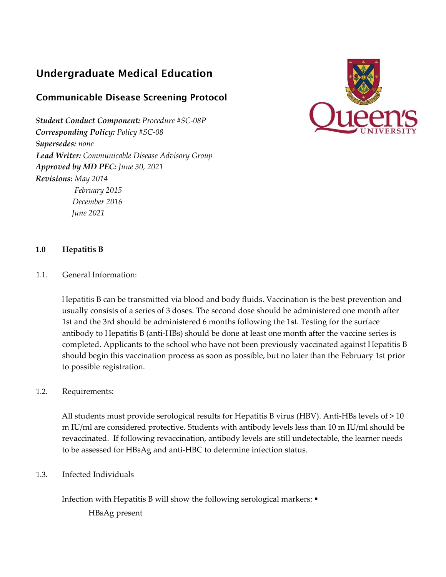# Undergraduate Medical Education

## Communicable Disease Screening Protocol

*Student Conduct Component: Procedure #SC‐08P Corresponding Policy: Policy #SC‐08 Supersedes: none Lead Writer: Communicable Disease Advisory Group Approved by MD PEC: June 30, 2021 Revisions: May 2014 February 2015 December 2016 June 2021*



## **1.0 Hepatitis B**

1.1. General Information:

Hepatitis B can be transmitted via blood and body fluids. Vaccination is the best prevention and usually consists of a series of 3 doses. The second dose should be administered one month after 1st and the 3rd should be administered 6 months following the 1st. Testing for the surface antibody to Hepatitis B (anti‐HBs) should be done at least one month after the vaccine series is completed. Applicants to the school who have not been previously vaccinated against Hepatitis B should begin this vaccination process as soon as possible, but no later than the February 1st prior to possible registration.

## 1.2. Requirements:

All students must provide serological results for Hepatitis B virus (HBV). Anti-HBs levels of  $>10$ m IU/ml are considered protective. Students with antibody levels less than 10 m IU/ml should be revaccinated. If following revaccination, antibody levels are still undetectable, the learner needs to be assessed for HBsAg and anti‐HBC to determine infection status.

## 1.3. Infected Individuals

Infection with Hepatitis B will show the following serological markers:

HBsAg present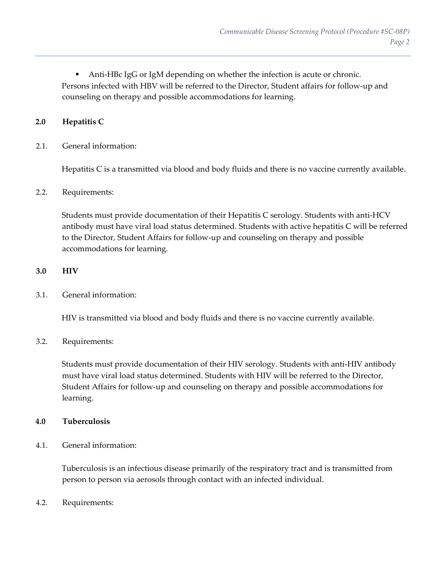Anti-HBc IgG or IgM depending on whether the infection is acute or chronic. Persons infected with HBV will be referred to the Director, Student affairs for follow‐up and counseling on therapy and possible accommodations for learning.

## **2.0 Hepatitis C**

2.1. General information:

Hepatitis C is a transmitted via blood and body fluids and there is no vaccine currently available.

## 2.2. Requirements:

Students must provide documentation of their Hepatitis C serology. Students with anti‐HCV antibody must have viral load status determined. Students with active hepatitis C will be referred to the Director, Student Affairs for follow‐up and counseling on therapy and possible accommodations for learning.

## **3.0 HIV**

3.1. General information:

HIV is transmitted via blood and body fluids and there is no vaccine currently available.

## 3.2. Requirements:

Students must provide documentation of their HIV serology. Students with anti-HIV antibody must have viral load status determined. Students with HIV will be referred to the Director, Student Affairs for follow‐up and counseling on therapy and possible accommodations for learning.

## **4.0 Tuberculosis**

4.1. General information:

Tuberculosis is an infectious disease primarily of the respiratory tract and is transmitted from person to person via aerosols through contact with an infected individual.

4.2. Requirements: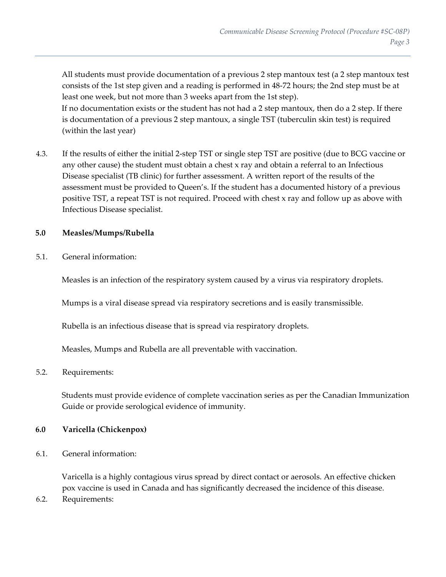All students must provide documentation of a previous 2 step mantoux test (a 2 step mantoux test consists of the 1st step given and a reading is performed in 48‐72 hours; the 2nd step must be at least one week, but not more than 3 weeks apart from the 1st step). If no documentation exists or the student has not had a 2 step mantoux, then do a 2 step. If there is documentation of a previous 2 step mantoux, a single TST (tuberculin skin test) is required (within the last year)

4.3. If the results of either the initial 2‐step TST or single step TST are positive (due to BCG vaccine or any other cause) the student must obtain a chest x ray and obtain a referral to an Infectious Disease specialist (TB clinic) for further assessment. A written report of the results of the assessment must be provided to Queen's. If the student has a documented history of a previous positive TST, a repeat TST is not required. Proceed with chest x ray and follow up as above with Infectious Disease specialist.

## **5.0 Measles/Mumps/Rubella**

5.1. General information:

Measles is an infection of the respiratory system caused by a virus via respiratory droplets.

Mumps is a viral disease spread via respiratory secretions and is easily transmissible.

Rubella is an infectious disease that is spread via respiratory droplets.

Measles, Mumps and Rubella are all preventable with vaccination.

## 5.2. Requirements:

Students must provide evidence of complete vaccination series as per the Canadian Immunization Guide or provide serological evidence of immunity.

## **6.0 Varicella (Chickenpox)**

6.1. General information:

Varicella is a highly contagious virus spread by direct contact or aerosols. An effective chicken pox vaccine is used in Canada and has significantly decreased the incidence of this disease.

6.2. Requirements: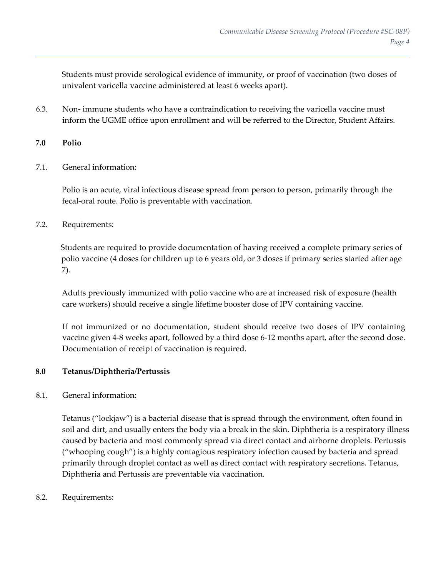Students must provide serological evidence of immunity, or proof of vaccination (two doses of univalent varicella vaccine administered at least 6 weeks apart).

6.3. Non‐ immune students who have a contraindication to receiving the varicella vaccine must inform the UGME office upon enrollment and will be referred to the Director, Student Affairs.

## **7.0 Polio**

7.1. General information:

Polio is an acute, viral infectious disease spread from person to person, primarily through the fecal‐oral route. Polio is preventable with vaccination.

7.2. Requirements:

Students are required to provide documentation of having received a complete primary series of polio vaccine (4 doses for children up to 6 years old, or 3 doses if primary series started after age 7).

Adults previously immunized with polio vaccine who are at increased risk of exposure (health care workers) should receive a single lifetime booster dose of IPV containing vaccine.

If not immunized or no documentation, student should receive two doses of IPV containing vaccine given 4‐8 weeks apart, followed by a third dose 6‐12 months apart, after the second dose. Documentation of receipt of vaccination is required.

## **8.0 Tetanus/Diphtheria/Pertussis**

8.1. General information:

Tetanus ("lockjaw") is a bacterial disease that is spread through the environment, often found in soil and dirt, and usually enters the body via a break in the skin. Diphtheria is a respiratory illness caused by bacteria and most commonly spread via direct contact and airborne droplets. Pertussis ("whooping cough") is a highly contagious respiratory infection caused by bacteria and spread primarily through droplet contact as well as direct contact with respiratory secretions. Tetanus, Diphtheria and Pertussis are preventable via vaccination.

8.2. Requirements: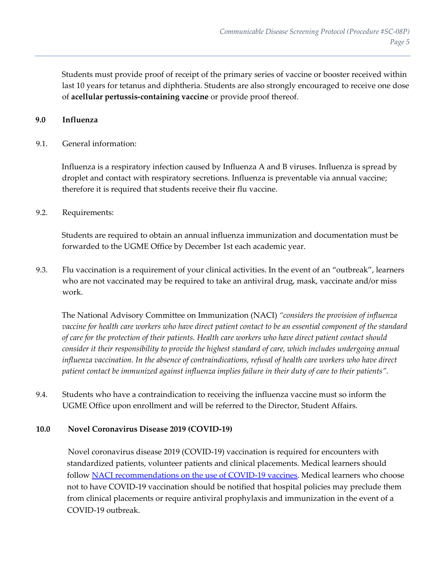Students must provide proof of receipt of the primary series of vaccine or booster received within last 10 years for tetanus and diphtheria. Students are also strongly encouraged to receive one dose of **acellular pertussis‐containing vaccine** or provide proof thereof.

## **9.0 Influenza**

## 9.1. General information:

Influenza is a respiratory infection caused by Influenza A and B viruses. Influenza is spread by droplet and contact with respiratory secretions. Influenza is preventable via annual vaccine; therefore it is required that students receive their flu vaccine.

## 9.2. Requirements:

Students are required to obtain an annual influenza immunization and documentation must be forwarded to the UGME Office by December 1st each academic year.

9.3. Flu vaccination is a requirement of your clinical activities. In the event of an "outbreak", learners who are not vaccinated may be required to take an antiviral drug, mask, vaccinate and/or miss work.

The National Advisory Committee on Immunization (NACI) *"considers the provision of influenza* vaccine for health care workers who have direct patient contact to be an essential component of the standard *of care for the protection of their patients. Health care workers who have direct patient contact should consider it their responsibility to provide the highest standard of care, which includes undergoing annual influenza vaccination. In the absence of contraindications, refusal of health care workers who have direct patient contact be immunized against influenza implies failure in their duty of care to their patients".*

9.4. Students who have a contraindication to receiving the influenza vaccine must so inform the UGME Office upon enrollment and will be referred to the Director, Student Affairs.

## **10.0 Novel Coronavirus Disease 2019 (COVID‐19)**

Novel coronavirus disease 2019 (COVID‐19) vaccination is required for encounters with standardized patients, volunteer patients and clinical placements. Medical learners should follow NACI recommendations on the use of COVID-19 vaccines. Medical learners who choose not to have COVID‐19 vaccination should be notified that hospital policies may preclude them from clinical placements or require antiviral prophylaxis and immunization in the event of a COVID‐19 outbreak.